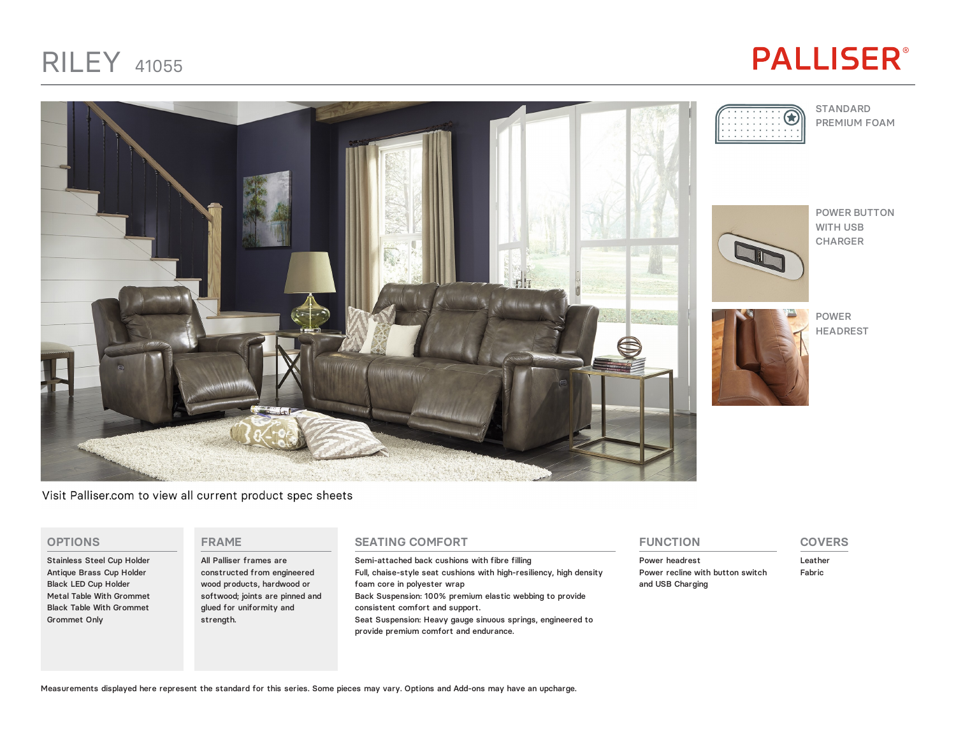# **PALLISER®**



Visit Palliser.com to view all current product spec sheets

#### **OPTIONS**

Stainless Steel Cup Holder Antique Brass Cup Holder Black LED Cup Holder Metal Table With Grommet Black Table With Grommet Grommet Only

### **FRAME**

All Palliser frames are constructed from engineered wood products, hardwood or softwood; joints are pinned and glued for uniformity and strength.

### **SEATING COMFORT**

Semi-attached back cushions with fibre filling Full, chaise-style seat cushions with high-resiliency, high density foam core in polyester wrap Back Suspension: 100% premium elastic webbing to provide consistent comfort and support. Seat Suspension: Heavy gauge sinuous springs, engineered to provide premium comfort and endurance.

### **FUNCTION**

Power headrest Power recline with button switch and USB Charging

## **COVERS**

Leather Fabric







POWER BUTTON WITH USB CHARGER



Measurements displayed here represent the standard for this series. Some pieces may vary. Options and Add-ons may have an upcharge.